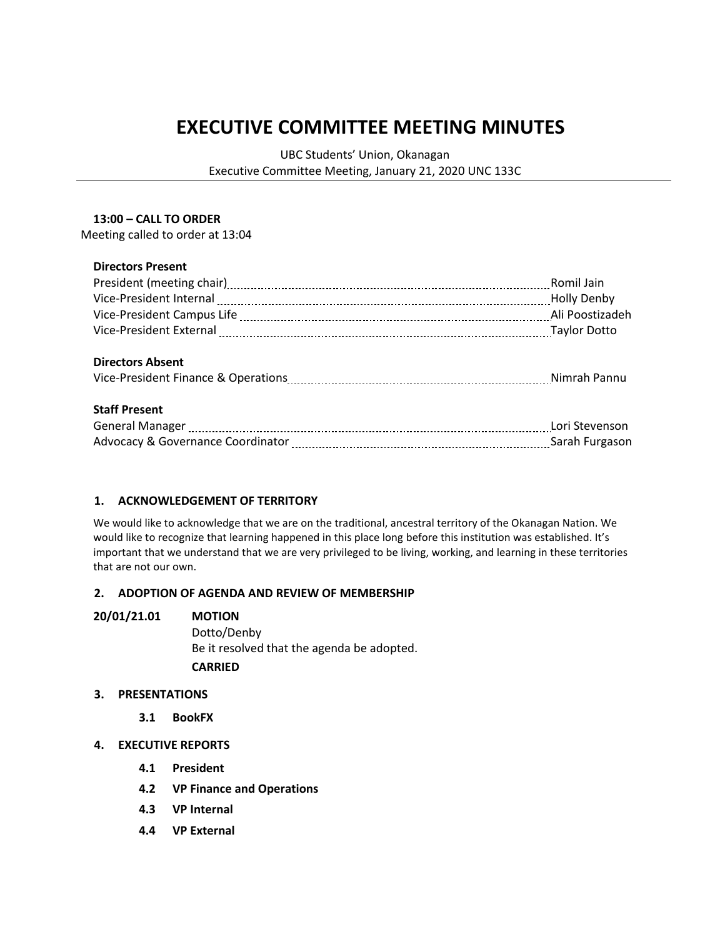# **EXECUTIVE COMMITTEE MEETING MINUTES**

UBC Students' Union, Okanagan

Executive Committee Meeting, January 21, 2020 UNC 133C

### **13:00 – CALL TO ORDER**

Meeting called to order at 13:04

# **Directors Present**

|                                                                                                                 | Romil Jain         |
|-----------------------------------------------------------------------------------------------------------------|--------------------|
|                                                                                                                 | <b>Holly Denby</b> |
|                                                                                                                 | Ali Poostizadeh    |
| Vice-President External [111] Vice-President External [11] Vice-President External [11] Vice-President External |                    |
|                                                                                                                 |                    |
| <b>Directors Absent</b>                                                                                         |                    |
|                                                                                                                 |                    |
|                                                                                                                 |                    |
| <b>Staff Present</b>                                                                                            |                    |
| General Manager [11] Contact Manager [11] Contact Manager [11] Manager [11] Manager [11] Manager [11] Manager   |                    |
|                                                                                                                 |                    |
|                                                                                                                 |                    |

# **1. ACKNOWLEDGEMENT OF TERRITORY**

We would like to acknowledge that we are on the traditional, ancestral territory of the Okanagan Nation. We would like to recognize that learning happened in this place long before this institution was established. It's important that we understand that we are very privileged to be living, working, and learning in these territories that are not our own.

# **2. ADOPTION OF AGENDA AND REVIEW OF MEMBERSHIP**

### **20/01/21.01 MOTION**

Dotto/Denby Be it resolved that the agenda be adopted. **CARRIED**

### **3. PRESENTATIONS**

- **3.1 BookFX**
- **4. EXECUTIVE REPORTS**
	- **4.1 President**
	- **4.2 VP Finance and Operations**
	- **4.3 VP Internal**
	- **4.4 VP External**